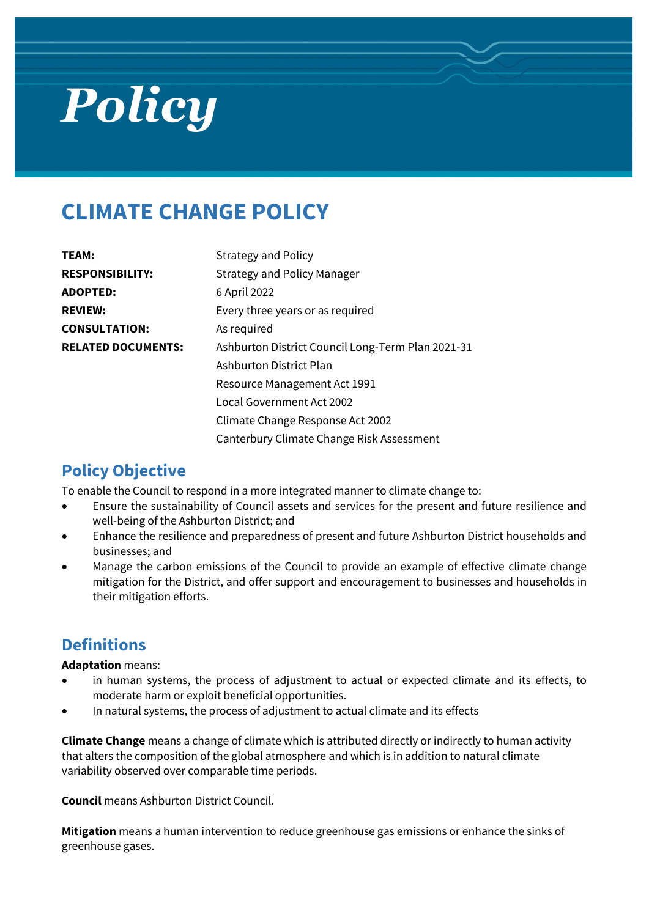# *Policy*

# **CLIMATE CHANGE POLICY**

| TEAM:                     | <b>Strategy and Policy</b>                        |
|---------------------------|---------------------------------------------------|
| <b>RESPONSIBILITY:</b>    | <b>Strategy and Policy Manager</b>                |
| <b>ADOPTED:</b>           | 6 April 2022                                      |
| <b>REVIEW:</b>            | Every three years or as required                  |
| <b>CONSULTATION:</b>      | As required                                       |
| <b>RELATED DOCUMENTS:</b> | Ashburton District Council Long-Term Plan 2021-31 |
|                           | Ashburton District Plan                           |
|                           | Resource Management Act 1991                      |
|                           | Local Government Act 2002                         |
|                           | Climate Change Response Act 2002                  |
|                           | Canterbury Climate Change Risk Assessment         |

# **Policy Objective**

To enable the Council to respond in a more integrated manner to climate change to:

- Ensure the sustainability of Council assets and services for the present and future resilience and well-being of the Ashburton District; and
- Enhance the resilience and preparedness of present and future Ashburton District households and businesses; and
- Manage the carbon emissions of the Council to provide an example of effective climate change mitigation for the District, and offer support and encouragement to businesses and households in their mitigation efforts.

## **Definitions**

**Adaptation** means:

- in human systems, the process of adjustment to actual or expected climate and its effects, to moderate harm or exploit beneficial opportunities.
- In natural systems, the process of adjustment to actual climate and its effects

**Climate Change** means a change of climate which is attributed directly or indirectly to human activity that alters the composition of the global atmosphere and which is in addition to natural climate variability observed over comparable time periods.

**Council** means Ashburton District Council.

**Mitigation** means a human intervention to reduce greenhouse gas emissions or enhance the sinks of greenhouse gases.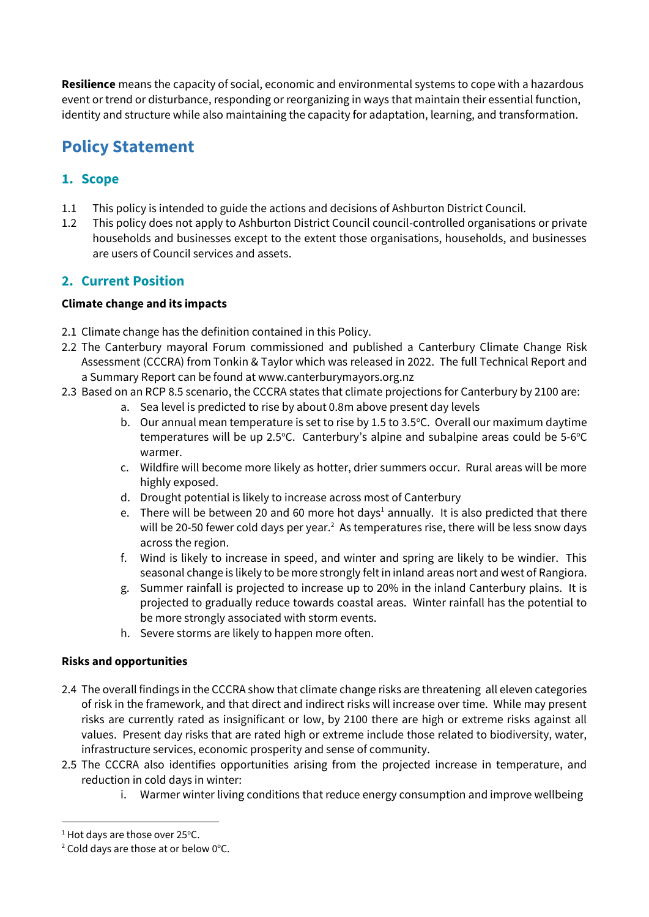**Resilience** means the capacity of social, economic and environmental systems to cope with a hazardous event or trend or disturbance, responding or reorganizing in ways that maintain their essential function, identity and structure while also maintaining the capacity for adaptation, learning, and transformation.

# **Policy Statement**

#### **1. Scope**

- 1.1 This policy is intended to guide the actions and decisions of Ashburton District Council.
- 1.2 This policy does not apply to Ashburton District Council council-controlled organisations or private households and businesses except to the extent those organisations, households, and businesses are users of Council services and assets.

#### **2. Current Position**

#### **Climate change and its impacts**

- 2.1 Climate change has the definition contained in this Policy.
- 2.2 The Canterbury mayoral Forum commissioned and published a Canterbury Climate Change Risk Assessment (CCCRA) from Tonkin & Taylor which was released in 2022. The full Technical Report and a Summary Report can be found at [www.canterburymayors.org.nz](http://www.canterburymayors.org.nz/)
- 2.3 Based on an RCP 8.5 scenario, the CCCRA states that climate projections for Canterbury by 2100 are:
	- a. Sea level is predicted to rise by about 0.8m above present day levels
	- b. Our annual mean temperature is set to rise by 1.5 to 3.5°C. Overall our maximum daytime  $t$ emperatures will be up 2.5°C. Canterbury's alpine and subalpine areas could be 5-6°C warmer.
	- c. Wildfire will become more likely as hotter, drier summers occur. Rural areas will be more highly exposed.
	- d. Drought potential is likely to increase across most of Canterbury
	- e. There will be between 20 and 60 more hot days<sup>1</sup> annually. It is also predicted that there will be 20-50 fewer cold days per year. $2$  As temperatures rise, there will be less snow days across the region.
	- f. Wind is likely to increase in speed, and winter and spring are likely to be windier. This seasonal change is likely to be more strongly felt in inland areas nort and west of Rangiora.
	- g. Summer rainfall is projected to increase up to 20% in the inland Canterbury plains. It is projected to gradually reduce towards coastal areas. Winter rainfall has the potential to be more strongly associated with storm events.
	- h. Severe storms are likely to happen more often.

#### **Risks and opportunities**

- 2.4 The overall findings in the CCCRA show that climate change risks are threatening all eleven categories of risk in the framework, and that direct and indirect risks will increase over time. While may present risks are currently rated as insignificant or low, by 2100 there are high or extreme risks against all values. Present day risks that are rated high or extreme include those related to biodiversity, water, infrastructure services, economic prosperity and sense of community.
- 2.5 The CCCRA also identifies opportunities arising from the projected increase in temperature, and reduction in cold days in winter:
	- i. Warmer winter living conditions that reduce energy consumption and improve wellbeing

1

 $1$  Hot days are those over 25 $\degree$ C.

 $2$  Cold days are those at or below 0 $\degree$ C.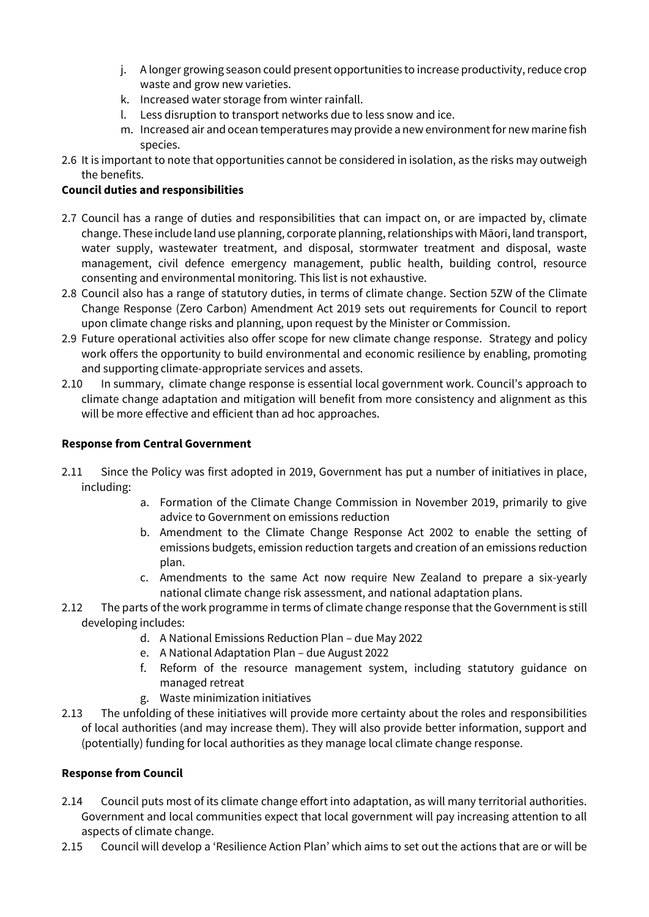- j. A longer growing season could present opportunities to increase productivity, reduce crop waste and grow new varieties.
- k. Increased water storage from winter rainfall.
- l. Less disruption to transport networks due to less snow and ice.
- m. Increased air and ocean temperatures may provide a new environment for new marine fish species.
- 2.6 It is important to note that opportunities cannot be considered in isolation, as the risks may outweigh the benefits.

#### **Council duties and responsibilities**

- 2.7 Council has a range of duties and responsibilities that can impact on, or are impacted by, climate change. These include land use planning, corporate planning, relationships with Māori, land transport, water supply, wastewater treatment, and disposal, stormwater treatment and disposal, waste management, civil defence emergency management, public health, building control, resource consenting and environmental monitoring. This list is not exhaustive.
- 2.8 Council also has a range of statutory duties, in terms of climate change. Section 5ZW of the Climate Change Response (Zero Carbon) Amendment Act 2019 sets out requirements for Council to report upon climate change risks and planning, upon request by the Minister or Commission.
- 2.9 Future operational activities also offer scope for new climate change response. Strategy and policy work offers the opportunity to build environmental and economic resilience by enabling, promoting and supporting climate-appropriate services and assets.
- 2.10 In summary, climate change response is essential local government work. Council's approach to climate change adaptation and mitigation will benefit from more consistency and alignment as this will be more effective and efficient than ad hoc approaches.

#### **Response from Central Government**

- 2.11 Since the Policy was first adopted in 2019, Government has put a number of initiatives in place, including:
	- a. Formation of the Climate Change Commission in November 2019, primarily to give advice to Government on emissions reduction
	- b. Amendment to the Climate Change Response Act 2002 to enable the setting of emissions budgets, emission reduction targets and creation of an emissions reduction plan.
	- c. Amendments to the same Act now require New Zealand to prepare a six-yearly national climate change risk assessment, and national adaptation plans.
- 2.12 The parts of the work programme in terms of climate change response that the Government is still developing includes:
	- d. A National Emissions Reduction Plan due May 2022
	- e. A National Adaptation Plan due August 2022
	- f. Reform of the resource management system, including statutory guidance on managed retreat
	- g. Waste minimization initiatives
- 2.13 The unfolding of these initiatives will provide more certainty about the roles and responsibilities of local authorities (and may increase them). They will also provide better information, support and (potentially) funding for local authorities as they manage local climate change response.

#### **Response from Council**

- 2.14 Council puts most of its climate change effort into adaptation, as will many territorial authorities. Government and local communities expect that local government will pay increasing attention to all aspects of climate change.
- 2.15 Council will develop a 'Resilience Action Plan' which aims to set out the actions that are or will be